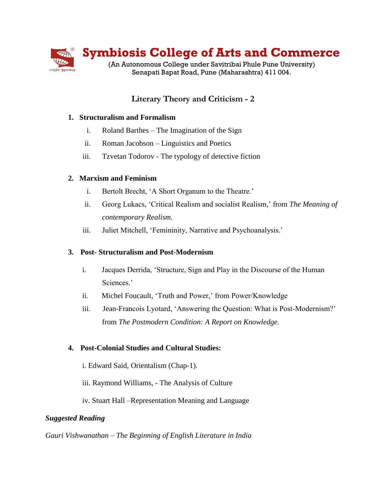

# **Literary Theory and Criticism - 2**

## **1. Structuralism and Formalism**

- i. Roland Barthes The Imagination of the Sign
- ii. Roman Jacobson Linguistics and Poetics
- iii. Tzvetan Todorov The typology of detective fiction

## **2. Marxism and Feminism**

- i. Bertolt Brecht, 'A Short Organum to the Theatre.'
- ii. Georg Lukacs, 'Critical Realism and socialist Realism,' from *The Meaning of contemporary Realism.*
- iii. Juliet Mitchell, 'Femininity, Narrative and Psychoanalysis.'

#### **3. Post- Structuralism and Post-Modernism**

- i. Jacques Derrida, 'Structure, Sign and Play in the Discourse of the Human Sciences.'
- ii. Michel Foucault, 'Truth and Power,' from Power/Knowledge
- iii. Jean-Francois Lyotard, 'Answering the Question: What is Post-Modernism?' from *The Postmodern Condition: A Report on Knowledge.*

#### **4. Post-Colonial Studies and Cultural Studies:**

- i. Edward Said, Orientalism (Chap-1).
- iii. Raymond Williams, The Analysis of Culture
- iv. Stuart Hall –Representation Meaning and Language

#### *Suggested Reading*

*Gauri Vishwanathan – The Beginning of English Literature in India*